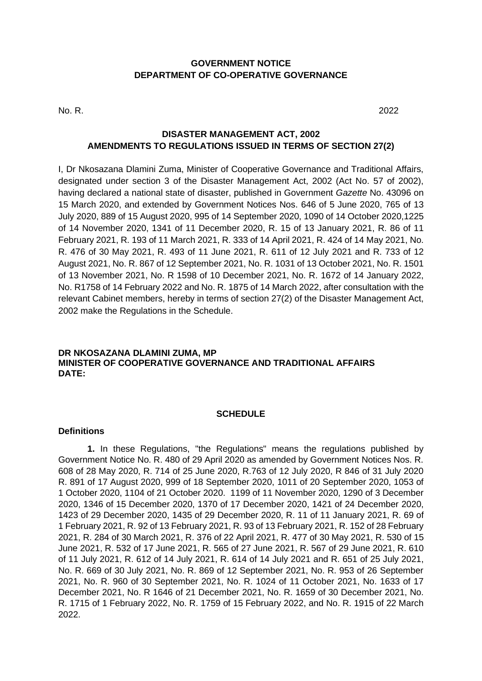### **GOVERNMENT NOTICE DEPARTMENT OF CO-OPERATIVE GOVERNANCE**

No. R. 2022

## **DISASTER MANAGEMENT ACT, 2002 AMENDMENTS TO REGULATIONS ISSUED IN TERMS OF SECTION 27(2)**

I, Dr Nkosazana Dlamini Zuma, Minister of Cooperative Governance and Traditional Affairs, designated under section 3 of the Disaster Management Act, 2002 (Act No. 57 of 2002), having declared a national state of disaster, published in Government *Gazette* No. 43096 on 15 March 2020, and extended by Government Notices Nos. 646 of 5 June 2020, 765 of 13 July 2020, 889 of 15 August 2020, 995 of 14 September 2020, 1090 of 14 October 2020,1225 of 14 November 2020, 1341 of 11 December 2020, R. 15 of 13 January 2021, R. 86 of 11 February 2021, R. 193 of 11 March 2021, R. 333 of 14 April 2021, R. 424 of 14 May 2021, No. R. 476 of 30 May 2021, R. 493 of 11 June 2021, R. 611 of 12 July 2021 and R. 733 of 12 August 2021, No. R. 867 of 12 September 2021, No. R. 1031 of 13 October 2021, No. R. 1501 of 13 November 2021, No. R 1598 of 10 December 2021, No. R. 1672 of 14 January 2022, No. R1758 of 14 February 2022 and No. R. 1875 of 14 March 2022, after consultation with the relevant Cabinet members, hereby in terms of section 27(2) of the Disaster Management Act, 2002 make the Regulations in the Schedule.

#### **DR NKOSAZANA DLAMINI ZUMA, MP MINISTER OF COOPERATIVE GOVERNANCE AND TRADITIONAL AFFAIRS DATE:**

#### **SCHEDULE**

#### **Definitions**

**1.** In these Regulations, "the Regulations" means the regulations published by Government Notice No. R. 480 of 29 April 2020 as amended by Government Notices Nos. R. 608 of 28 May 2020, R. 714 of 25 June 2020, R.763 of 12 July 2020, R 846 of 31 July 2020 R. 891 of 17 August 2020, 999 of 18 September 2020, 1011 of 20 September 2020, 1053 of 1 October 2020, 1104 of 21 October 2020. 1199 of 11 November 2020, 1290 of 3 December 2020, 1346 of 15 December 2020, 1370 of 17 December 2020, 1421 of 24 December 2020, 1423 of 29 December 2020, 1435 of 29 December 2020, R. 11 of 11 January 2021, R. 69 of 1 February 2021, R. 92 of 13 February 2021, R. 93 of 13 February 2021, R. 152 of 28 February 2021, R. 284 of 30 March 2021, R. 376 of 22 April 2021, R. 477 of 30 May 2021, R. 530 of 15 June 2021, R. 532 of 17 June 2021, R. 565 of 27 June 2021, R. 567 of 29 June 2021, R. 610 of 11 July 2021, R. 612 of 14 July 2021, R. 614 of 14 July 2021 and R. 651 of 25 July 2021, No. R. 669 of 30 July 2021, No. R. 869 of 12 September 2021, No. R. 953 of 26 September 2021, No. R. 960 of 30 September 2021, No. R. 1024 of 11 October 2021, No. 1633 of 17 December 2021, No. R 1646 of 21 December 2021, No. R. 1659 of 30 December 2021, No. R. 1715 of 1 February 2022, No. R. 1759 of 15 February 2022, and No. R. 1915 of 22 March 2022.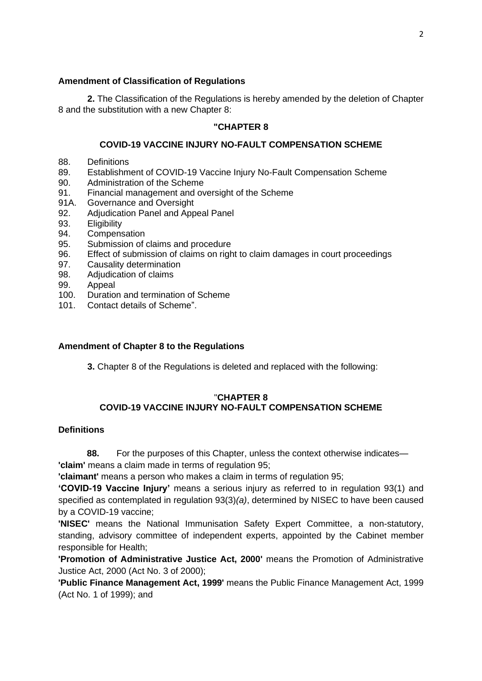### **Amendment of Classification of Regulations**

**2.** The Classification of the Regulations is hereby amended by the deletion of Chapter 8 and the substitution with a new Chapter 8:

#### **"CHAPTER 8**

#### **COVID-19 VACCINE INJURY NO-FAULT COMPENSATION SCHEME**

- 88. Definitions
- 89. Establishment of COVID-19 Vaccine Injury No-Fault Compensation Scheme
- 90. Administration of the Scheme
- 91. Financial management and oversight of the Scheme
- 91A. Governance and Oversight
- 92. Adjudication Panel and Appeal Panel
- 93. Eligibility
- 94. Compensation
- 95. Submission of claims and procedure
- 96. Effect of submission of claims on right to claim damages in court proceedings
- 97. Causality determination
- 98. Adjudication of claims
- 99. Appeal
- 100. Duration and termination of Scheme
- 101. Contact details of Scheme".

#### **Amendment of Chapter 8 to the Regulations**

**3.** Chapter 8 of the Regulations is deleted and replaced with the following:

#### "**CHAPTER 8 COVID-19 VACCINE INJURY NO-FAULT COMPENSATION SCHEME**

#### **Definitions**

**88.** For the purposes of this Chapter, unless the context otherwise indicates—

**'claim'** means a claim made in terms of regulation 95;

**'claimant'** means a person who makes a claim in terms of regulation 95;

**'COVID-19 Vaccine Injury'** means a serious injury as referred to in regulation 93(1) and specified as contemplated in regulation 93(3)*(a)*, determined by NISEC to have been caused by a COVID-19 vaccine;

**'NISEC'** means the National Immunisation Safety Expert Committee, a non-statutory, standing, advisory committee of independent experts, appointed by the Cabinet member responsible for Health;

**'Promotion of Administrative Justice Act, 2000'** means the Promotion of Administrative Justice Act, 2000 (Act No. 3 of 2000);

**'Public Finance Management Act, 1999'** means the Public Finance Management Act, 1999 (Act No. 1 of 1999); and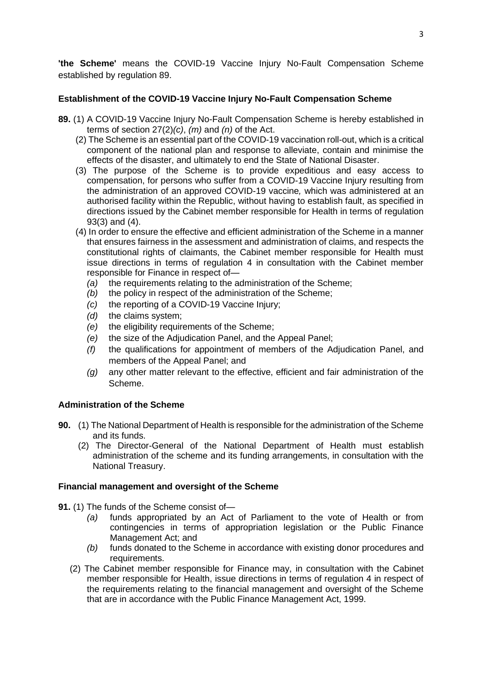**'the Scheme'** means the COVID-19 Vaccine Injury No-Fault Compensation Scheme established by regulation 89.

### **Establishment of the COVID-19 Vaccine Injury No-Fault Compensation Scheme**

- **89.** (1) A COVID-19 Vaccine Injury No-Fault Compensation Scheme is hereby established in terms of section 27(2)*(c)*, *(m)* and *(n)* of the Act.
	- (2) The Scheme is an essential part of the COVID-19 vaccination roll-out, which is a critical component of the national plan and response to alleviate, contain and minimise the effects of the disaster, and ultimately to end the State of National Disaster.
	- (3) The purpose of the Scheme is to provide expeditious and easy access to compensation, for persons who suffer from a COVID-19 Vaccine Injury resulting from the administration of an approved COVID-19 vaccine*,* which was administered at an authorised facility within the Republic, without having to establish fault, as specified in directions issued by the Cabinet member responsible for Health in terms of regulation 93(3) and (4).
	- (4) In order to ensure the effective and efficient administration of the Scheme in a manner that ensures fairness in the assessment and administration of claims, and respects the constitutional rights of claimants, the Cabinet member responsible for Health must issue directions in terms of regulation 4 in consultation with the Cabinet member responsible for Finance in respect of—
		- *(a)* the requirements relating to the administration of the Scheme;
		- *(b)* the policy in respect of the administration of the Scheme;
		- *(c)* the reporting of a COVID-19 Vaccine Injury;
		- *(d)* the claims system;
		- *(e)* the eligibility requirements of the Scheme;
		- *(e)* the size of the Adjudication Panel, and the Appeal Panel;
		- *(f)* the qualifications for appointment of members of the Adjudication Panel, and members of the Appeal Panel; and
		- *(g)* any other matter relevant to the effective, efficient and fair administration of the Scheme.

# **Administration of the Scheme**

- **90.** (1) The National Department of Health is responsible for the administration of the Scheme and its funds.
	- (2) The Director-General of the National Department of Health must establish administration of the scheme and its funding arrangements, in consultation with the National Treasury.

### **Financial management and oversight of the Scheme**

**91.** (1) The funds of the Scheme consist of—

- *(a)* funds appropriated by an Act of Parliament to the vote of Health or from contingencies in terms of appropriation legislation or the Public Finance Management Act; and
- *(b)* funds donated to the Scheme in accordance with existing donor procedures and requirements.
- (2) The Cabinet member responsible for Finance may, in consultation with the Cabinet member responsible for Health, issue directions in terms of regulation 4 in respect of the requirements relating to the financial management and oversight of the Scheme that are in accordance with the Public Finance Management Act, 1999.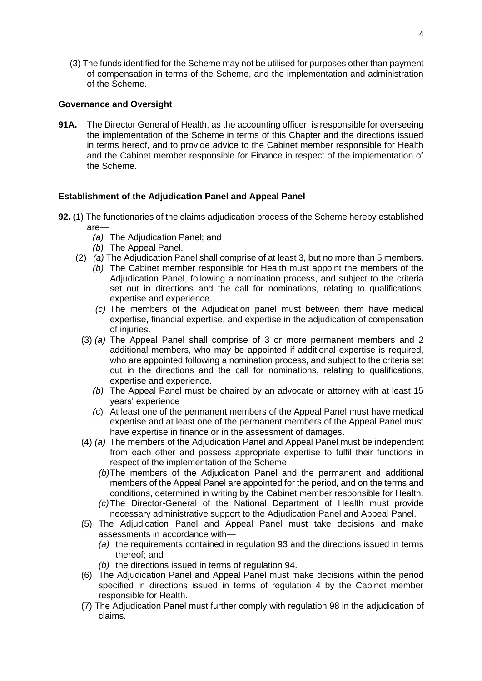(3) The funds identified for the Scheme may not be utilised for purposes other than payment of compensation in terms of the Scheme, and the implementation and administration of the Scheme.

### **Governance and Oversight**

**91A.** The Director General of Health, as the accounting officer, is responsible for overseeing the implementation of the Scheme in terms of this Chapter and the directions issued in terms hereof, and to provide advice to the Cabinet member responsible for Health and the Cabinet member responsible for Finance in respect of the implementation of the Scheme.

#### **Establishment of the Adjudication Panel and Appeal Panel**

- **92.** (1) The functionaries of the claims adjudication process of the Scheme hereby established are—
	- *(a)* The Adjudication Panel; and
	- *(b)* The Appeal Panel.
	- (2) *(a)* The Adjudication Panel shall comprise of at least 3, but no more than 5 members.
		- *(b)* The Cabinet member responsible for Health must appoint the members of the Adjudication Panel, following a nomination process, and subject to the criteria set out in directions and the call for nominations, relating to qualifications, expertise and experience.
		- *(c)* The members of the Adjudication panel must between them have medical expertise, financial expertise, and expertise in the adjudication of compensation of injuries.
		- (3) *(a)* The Appeal Panel shall comprise of 3 or more permanent members and 2 additional members, who may be appointed if additional expertise is required, who are appointed following a nomination process, and subject to the criteria set out in the directions and the call for nominations, relating to qualifications, expertise and experience.
			- *(b)* The Appeal Panel must be chaired by an advocate or attorney with at least 15 years' experience
			- *(*c) At least one of the permanent members of the Appeal Panel must have medical expertise and at least one of the permanent members of the Appeal Panel must have expertise in finance or in the assessment of damages.
		- (4) *(a)* The members of the Adjudication Panel and Appeal Panel must be independent from each other and possess appropriate expertise to fulfil their functions in respect of the implementation of the Scheme.
			- *(b)*The members of the Adjudication Panel and the permanent and additional members of the Appeal Panel are appointed for the period, and on the terms and conditions, determined in writing by the Cabinet member responsible for Health.
			- *(c)*The Director-General of the National Department of Health must provide necessary administrative support to the Adjudication Panel and Appeal Panel.
		- (5) The Adjudication Panel and Appeal Panel must take decisions and make assessments in accordance with—
			- *(a)* the requirements contained in regulation 93 and the directions issued in terms thereof; and
			- *(b)* the directions issued in terms of regulation 94.
		- (6) The Adjudication Panel and Appeal Panel must make decisions within the period specified in directions issued in terms of regulation 4 by the Cabinet member responsible for Health.
		- (7) The Adjudication Panel must further comply with regulation 98 in the adjudication of claims.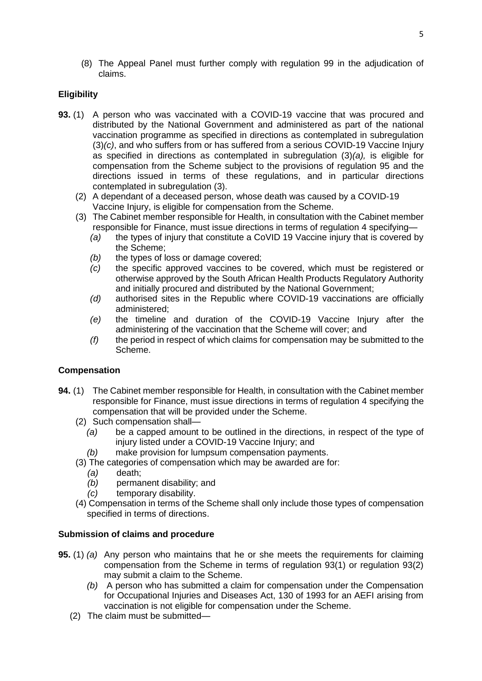(8) The Appeal Panel must further comply with regulation 99 in the adjudication of claims.

# **Eligibility**

- **93.** (1) A person who was vaccinated with a COVID-19 vaccine that was procured and distributed by the National Government and administered as part of the national vaccination programme as specified in directions as contemplated in subregulation (3)*(c)*, and who suffers from or has suffered from a serious COVID-19 Vaccine Injury as specified in directions as contemplated in subregulation (3)*(a),* is eligible for compensation from the Scheme subject to the provisions of regulation 95 and the directions issued in terms of these regulations, and in particular directions contemplated in subregulation (3).
	- (2) A dependant of a deceased person, whose death was caused by a COVID-19 Vaccine Injury, is eligible for compensation from the Scheme.
	- (3) The Cabinet member responsible for Health, in consultation with the Cabinet member responsible for Finance, must issue directions in terms of regulation 4 specifying—
		- *(a)* the types of injury that constitute a CoVID 19 Vaccine injury that is covered by the Scheme;
		- *(b)* the types of loss or damage covered;
		- *(c)* the specific approved vaccines to be covered, which must be registered or otherwise approved by the South African Health Products Regulatory Authority and initially procured and distributed by the National Government;
		- *(d)* authorised sites in the Republic where COVID-19 vaccinations are officially administered;
		- *(e)* the timeline and duration of the COVID-19 Vaccine Injury after the administering of the vaccination that the Scheme will cover; and
		- *(f)* the period in respect of which claims for compensation may be submitted to the Scheme.

### **Compensation**

- **94.** (1) The Cabinet member responsible for Health, in consultation with the Cabinet member responsible for Finance, must issue directions in terms of regulation 4 specifying the compensation that will be provided under the Scheme.
	- (2) Such compensation shall—
		- *(a)* be a capped amount to be outlined in the directions, in respect of the type of injury listed under a COVID-19 Vaccine Injury; and
		- *(b)* make provision for lumpsum compensation payments.
	- (3) The categories of compensation which may be awarded are for:
		- *(a)* death;
		- *(b)* permanent disability; and
		- *(c)* temporary disability.
	- (4) Compensation in terms of the Scheme shall only include those types of compensation specified in terms of directions.

### **Submission of claims and procedure**

- **95.** (1) *(a)* Any person who maintains that he or she meets the requirements for claiming compensation from the Scheme in terms of regulation 93(1) or regulation 93(2) may submit a claim to the Scheme.
	- *(b)* A person who has submitted a claim for compensation under the Compensation for Occupational Injuries and Diseases Act, 130 of 1993 for an AEFI arising from vaccination is not eligible for compensation under the Scheme.
	- (2) The claim must be submitted—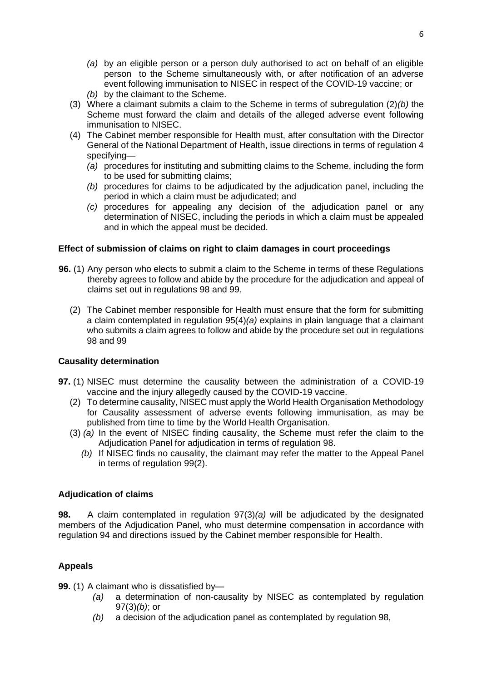- *(a)* by an eligible person or a person duly authorised to act on behalf of an eligible person to the Scheme simultaneously with, or after notification of an adverse event following immunisation to NISEC in respect of the COVID-19 vaccine; or
- *(b)* by the claimant to the Scheme.
- (3) Where a claimant submits a claim to the Scheme in terms of subregulation (2)*(b)* the Scheme must forward the claim and details of the alleged adverse event following immunisation to NISEC.
- (4) The Cabinet member responsible for Health must, after consultation with the Director General of the National Department of Health, issue directions in terms of regulation 4 specifying—
	- *(a)* procedures for instituting and submitting claims to the Scheme, including the form to be used for submitting claims;
	- *(b)* procedures for claims to be adjudicated by the adjudication panel, including the period in which a claim must be adjudicated; and
	- *(c)* procedures for appealing any decision of the adjudication panel or any determination of NISEC, including the periods in which a claim must be appealed and in which the appeal must be decided.

### **Effect of submission of claims on right to claim damages in court proceedings**

- **96.** (1) Any person who elects to submit a claim to the Scheme in terms of these Regulations thereby agrees to follow and abide by the procedure for the adjudication and appeal of claims set out in regulations 98 and 99.
	- (2) The Cabinet member responsible for Health must ensure that the form for submitting a claim contemplated in regulation 95(4)*(a)* explains in plain language that a claimant who submits a claim agrees to follow and abide by the procedure set out in regulations 98 and 99

### **Causality determination**

- **97.** (1) NISEC must determine the causality between the administration of a COVID-19 vaccine and the injury allegedly caused by the COVID-19 vaccine.
	- (2) To determine causality, NISEC must apply the World Health Organisation Methodology for Causality assessment of adverse events following immunisation, as may be published from time to time by the World Health Organisation.
	- (3) *(a)* In the event of NISEC finding causality, the Scheme must refer the claim to the Adjudication Panel for adjudication in terms of regulation 98.
		- *(b)* If NISEC finds no causality, the claimant may refer the matter to the Appeal Panel in terms of regulation 99(2).

### **Adjudication of claims**

**98.** A claim contemplated in regulation 97(3)*(a)* will be adjudicated by the designated members of the Adjudication Panel, who must determine compensation in accordance with regulation 94 and directions issued by the Cabinet member responsible for Health.

## **Appeals**

**99.** (1) A claimant who is dissatisfied by—

- *(a)* a determination of non-causality by NISEC as contemplated by regulation 97(3)*(b)*; or
- *(b)* a decision of the adjudication panel as contemplated by regulation 98,